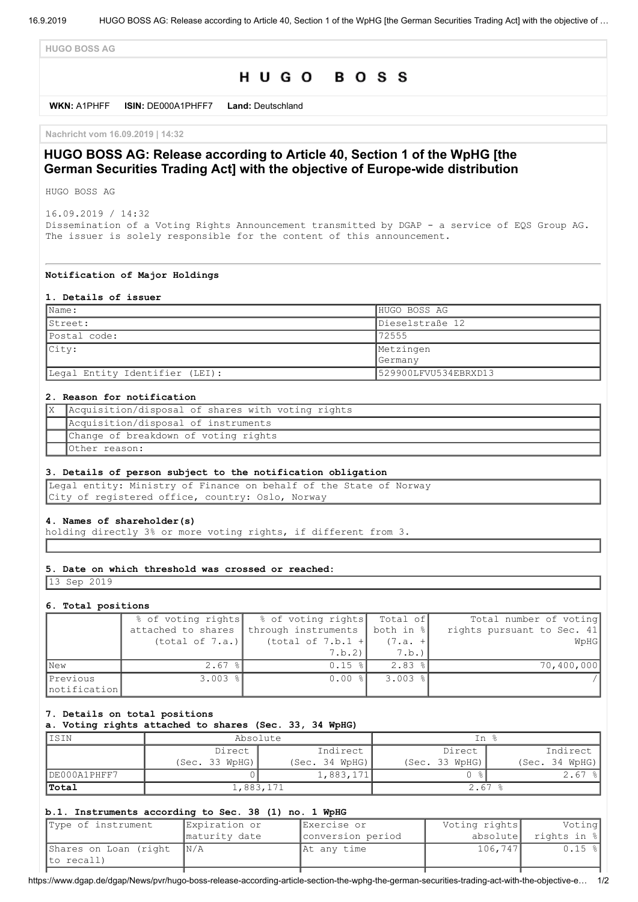**HUGO BOSS AG**

# HUGO BOSS

**WKN:** A1PHFF **ISIN:** DE000A1PHFF7 **Land:** Deutschland

**Nachricht vom 16.09.2019 | 14:32**

## **HUGO BOSS AG: Release according to Article 40, Section 1 of the WpHG [the German Securities Trading Act] with the objective of Europe-wide distribution**

HUGO BOSS AG

16.09.2019 / 14:32 Dissemination of a Voting Rights Announcement transmitted by DGAP - a service of EQS Group AG. The issuer is solely responsible for the content of this announcement.

#### **Notification of Major Holdings**

#### **1. Details of issuer**

| $\mathsf{Name:}$               | HUGO BOSS AG         |
|--------------------------------|----------------------|
| IStreet:                       | Dieselstraße 12      |
| Postal code:                   | 72555                |
| City:                          | Metzingen            |
|                                | <b>Germany</b>       |
| Legal Entity Identifier (LEI): | 529900LFVU534EBRXD13 |

#### **2. Reason for notification**

| X Acquisition/disposal of shares with voting rights |
|-----------------------------------------------------|
| Acquisition/disposal of instruments                 |
| Change of breakdown of voting rights                |
| Other reason:                                       |

## **3. Details of person subject to the notification obligation**

Legal entity: Ministry of Finance on behalf of the State of Norway City of registered office, country: Oslo, Norway

## **4. Names of shareholder(s)**

holding directly 3% or more voting rights, if different from 3.

## **5. Date on which threshold was crossed or reached:**

13 Sep 2019

#### **6. Total positions**

|                          |                       | % of voting rights   % of voting rights   Total of |                       | Total number of voting     |
|--------------------------|-----------------------|----------------------------------------------------|-----------------------|----------------------------|
|                          | attached to shares    | through instruments                                | both in %             | rights pursuant to Sec. 41 |
|                          | (total of 7.a.)       | (total of $7.b.1 +$                                | $(7.a. +$             | WpHG                       |
|                          |                       | 7.b.2)                                             | 7.b.                  |                            |
| <b>New</b>               | $2.67$ %              | $0.15$ %                                           | $2.83$ $\frac{8}{1}$  | 70,400,000                 |
| Previous<br>notification | $3.003$ $\frac{8}{1}$ | $0.00$ $\frac{8}{5}$                               | $3.003$ $\frac{8}{1}$ |                            |

## **7. Details on total positions**

**a. Voting rights attached to shares (Sec. 33, 34 WpHG)**

| IISIN        | Absolute       |                | In %           |                |
|--------------|----------------|----------------|----------------|----------------|
|              | Direct         | Indirect       | Direct         | Indirect       |
|              | (Sec. 33 WpHG) | (Sec. 34 WpHG) | (Sec. 33 WpHG) | (Sec. 34 WpHG) |
| DE000A1PHFF7 |                | 1,883,171      |                | $2.67$ $ $     |
| Total        | 1,883,171      |                | $2.67$ %       |                |

#### **b.1. Instruments according to Sec. 38 (1) no. 1 WpHG**

| Type of instrument                      | Expiration or | Exercise or       | Voting rights | Voting      |
|-----------------------------------------|---------------|-------------------|---------------|-------------|
|                                         | maturity date | conversion period | absolutel     | rights in % |
| Shares on Loan (right $\vert N/A \vert$ |               | At any time       | 106,747       | $0.15$ %    |
| to recall)                              |               |                   |               |             |

https://www.dgap.de/dgap/News/pvr/hugo-boss-release-according-article-section-the-wphg-the-german-securities-trading-act-with-the-objective-e… 1/2